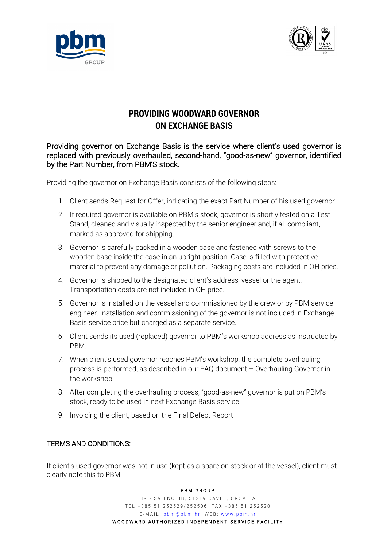



## **PROVIDING WOODWARD GOVERNOR ON EXCHANGE BASIS**

Providing governor on Exchange Basis is the service where client's used governor is replaced with previously overhauled, second-hand, "good-as-new" governor, identified by the Part Number, from PBM'S stock.

Providing the governor on Exchange Basis consists of the following steps:

- 1. Client sends Request for Offer, indicating the exact Part Number of his used governor
- 2. If required governor is available on PBM's stock, governor is shortly tested on a Test Stand, cleaned and visually inspected by the senior engineer and, if all compliant, marked as approved for shipping.
- 3. Governor is carefully packed in a wooden case and fastened with screws to the wooden base inside the case in an upright position. Case is filled with protective material to prevent any damage or pollution. Packaging costs are included in OH price.
- 4. Governor is shipped to the designated client's address, vessel or the agent. Transportation costs are not included in OH price.
- 5. Governor is installed on the vessel and commissioned by the crew or by PBM service engineer. Installation and commissioning of the governor is not included in Exchange Basis service price but charged as a separate service.
- 6. Client sends its used (replaced) governor to PBM's workshop address as instructed by PBM.
- 7. When client's used governor reaches PBM's workshop, the complete overhauling process is performed, as described in our FAQ document – Overhauling Governor in the workshop
- 8. After completing the overhauling process, "good-as-new" governor is put on PBM's stock, ready to be used in next Exchange Basis service
- 9. Invoicing the client, based on the Final Defect Report

## TERMS AND CONDITIONS:

If client's used governor was not in use (kept as a spare on stock or at the vessel), client must clearly note this to PBM.

## PBM GROUP

HR - SVILNO BB, 51219 ČAVLE, CROATIA TEL +385 51 252529/252506; FAX +385 51 252520 E-MAIL: pbm@pbm.hr; WEB: www.pbm.hr WOODWARD AUTHORIZED INDEPENDENT SERVICE FACILITY